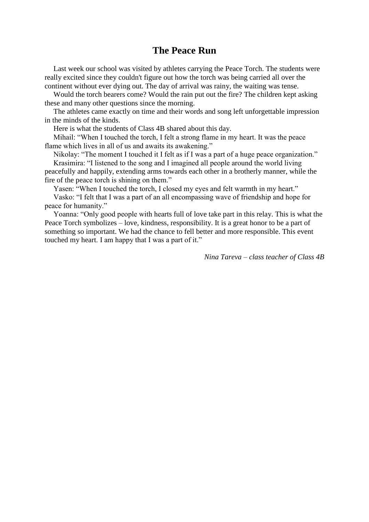## **The Peace Run**

Last week our school was visited by athletes carrying the Peace Torch. The students were really excited since they couldn't figure out how the torch was being carried all over the continent without ever dying out. The day of arrival was rainy, the waiting was tense.

Would the torch bearers come? Would the rain put out the fire? The children kept asking these and many other questions since the morning.

The athletes came exactly on time and their words and song left unforgettable impression in the minds of the kinds.

Here is what the students of Class 4B shared about this day.

Mihail: "When I touched the torch, I felt a strong flame in my heart. It was the peace flame which lives in all of us and awaits its awakening."

Nikolay: "The moment I touched it I felt as if I was a part of a huge peace organization." Krasimira: "I listened to the song and I imagined all people around the world living

peacefully and happily, extending arms towards each other in a brotherly manner, while the fire of the peace torch is shining on them."

Yasen: "When I touched the torch, I closed my eyes and felt warmth in my heart."

Vasko: "I felt that I was a part of an all encompassing wave of friendship and hope for peace for humanity."

Yoanna: "Only good people with hearts full of love take part in this relay. This is what the Peace Torch symbolizes – love, kindness, responsibility. It is a great honor to be a part of something so important. We had the chance to fell better and more responsible. This event touched my heart. I am happy that I was a part of it."

*Nina Tareva – class teacher of Class 4B*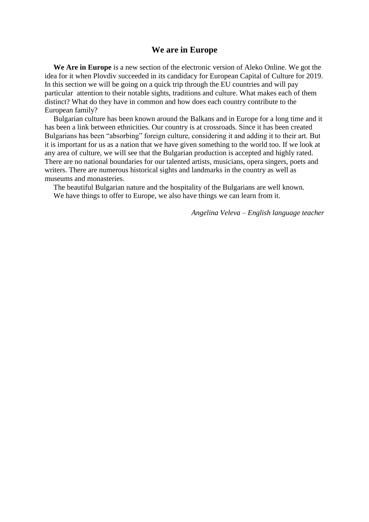## **We are in Europe**

We Are in Europe is a new section of the electronic version of Aleko Online. We got the idea for it when Plovdiv succeeded in its candidacy for European Capital of Culture for 2019. In this section we will be going on a quick trip through the EU countries and will pay particular attention to their notable sights, traditions and culture. What makes each of them distinct? What do they have in common and how does each country contribute to the European family?

Bulgarian culture has been known around the Balkans and in Europe for a long time and it has been a link between ethnicities. Our country is at crossroads. Since it has been created Bulgarians has been "absorbing" foreign culture, considering it and adding it to their art. But it is important for us as a nation that we have given something to the world too. If we look at any area of culture, we will see that the Bulgarian production is accepted and highly rated. There are no national boundaries for our talented artists, musicians, opera singers, poets and writers. There are numerous historical sights and landmarks in the country as well as museums and monasteries.

The beautiful Bulgarian nature and the hospitality of the Bulgarians are well known. We have things to offer to Europe, we also have things we can learn from it.

*Angelina Veleva – English language teacher*